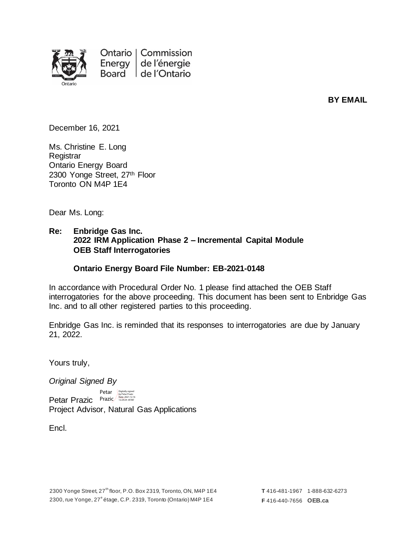

Ontario | Commission Energy de l'énergie Board de l'Ontario

**BY EMAIL**

December 16, 2021

Ms. Christine E. Long **Registrar** Ontario Energy Board 2300 Yonge Street, 27th Floor Toronto ON M4P 1E4

Dear Ms. Long:

## **Re: Enbridge Gas Inc. 2022 IRM Application Phase 2 – Incremental Capital Module OEB Staff Interrogatories**

#### **Ontario Energy Board File Number: EB-2021-0148**

In accordance with Procedural Order No. 1 please find attached the OEB Staff interrogatories for the above proceeding. This document has been sent to Enbridge Gas Inc. and to all other registered parties to this proceeding.

Enbridge Gas Inc. is reminded that its responses to interrogatories are due by January 21, 2022.

Yours truly,

*Original Signed By*

Petar Prazic Prazic Brazic Project Advisor, Natural Gas Applications Petar Digitally signed

Encl.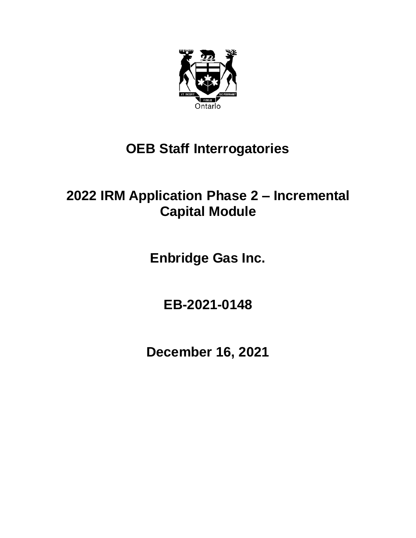

# **OEB Staff Interrogatories**

# **2022 IRM Application Phase 2 – Incremental Capital Module**

**Enbridge Gas Inc.**

**EB-2021-0148**

**December 16, 2021**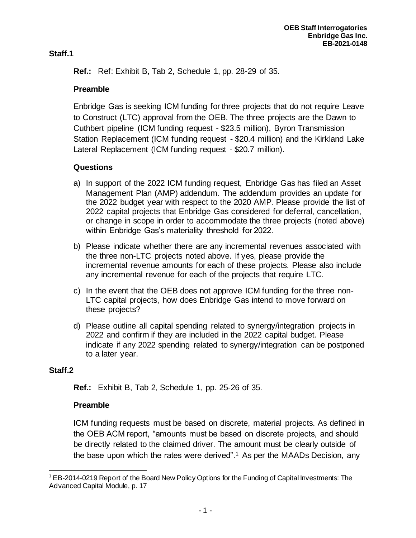# **Staff.1**

**Ref.:** Ref: Exhibit B, Tab 2, Schedule 1, pp. 28-29 of 35.

# **Preamble**

Enbridge Gas is seeking ICM funding for three projects that do not require Leave to Construct (LTC) approval from the OEB. The three projects are the Dawn to Cuthbert pipeline (ICM funding request - \$23.5 million), Byron Transmission Station Replacement (ICM funding request - \$20.4 million) and the Kirkland Lake Lateral Replacement (ICM funding request - \$20.7 million).

# **Questions**

- a) In support of the 2022 ICM funding request, Enbridge Gas has filed an Asset Management Plan (AMP) addendum. The addendum provides an update for the 2022 budget year with respect to the 2020 AMP. Please provide the list of 2022 capital projects that Enbridge Gas considered for deferral, cancellation, or change in scope in order to accommodate the three projects (noted above) within Enbridge Gas's materiality threshold for 2022.
- b) Please indicate whether there are any incremental revenues associated with the three non-LTC projects noted above. If yes, please provide the incremental revenue amounts for each of these projects. Please also include any incremental revenue for each of the projects that require LTC.
- c) In the event that the OEB does not approve ICM funding for the three non-LTC capital projects, how does Enbridge Gas intend to move forward on these projects?
- d) Please outline all capital spending related to synergy/integration projects in 2022 and confirm if they are included in the 2022 capital budget. Please indicate if any 2022 spending related to synergy/integration can be postponed to a later year.

# **Staff.2**

**Ref.:** Exhibit B, Tab 2, Schedule 1, pp. 25-26 of 35.

# **Preamble**

ICM funding requests must be based on discrete, material projects. As defined in the OEB ACM report, "amounts must be based on discrete projects, and should be directly related to the claimed driver. The amount must be clearly outside of the base upon which the rates were derived".<sup>1</sup> As per the MAADs Decision, any

<sup>&</sup>lt;sup>1</sup> EB-2014-0219 Report of the Board New Policy Options for the Funding of Capital Investments: The Advanced Capital Module, p. 17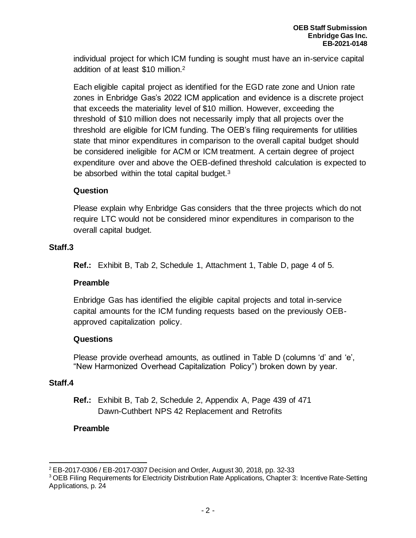individual project for which ICM funding is sought must have an in-service capital addition of at least \$10 million.<sup>2</sup>

Each eligible capital project as identified for the EGD rate zone and Union rate zones in Enbridge Gas's 2022 ICM application and evidence is a discrete project that exceeds the materiality level of \$10 million. However, exceeding the threshold of \$10 million does not necessarily imply that all projects over the threshold are eligible for ICM funding. The OEB's filing requirements for utilities state that minor expenditures in comparison to the overall capital budget should be considered ineligible for ACM or ICM treatment. A certain degree of project expenditure over and above the OEB-defined threshold calculation is expected to be absorbed within the total capital budget.<sup>3</sup>

## **Question**

Please explain why Enbridge Gas considers that the three projects which do not require LTC would not be considered minor expenditures in comparison to the overall capital budget.

## **Staff.3**

**Ref.:** Exhibit B, Tab 2, Schedule 1, Attachment 1, Table D, page 4 of 5.

# **Preamble**

Enbridge Gas has identified the eligible capital projects and total in-service capital amounts for the ICM funding requests based on the previously OEBapproved capitalization policy.

## **Questions**

Please provide overhead amounts, as outlined in Table D (columns 'd' and 'e', "New Harmonized Overhead Capitalization Policy") broken down by year.

## **Staff.4**

**Ref.:** Exhibit B, Tab 2, Schedule 2, Appendix A, Page 439 of 471 Dawn-Cuthbert NPS 42 Replacement and Retrofits

## **Preamble**

<sup>2</sup> EB-2017-0306 / EB-2017-0307 Decision and Order, August 30, 2018, pp. 32-33

<sup>&</sup>lt;sup>3</sup> OEB Filing Requirements for Electricity Distribution Rate Applications, Chapter 3: Incentive Rate-Setting Applications, p. 24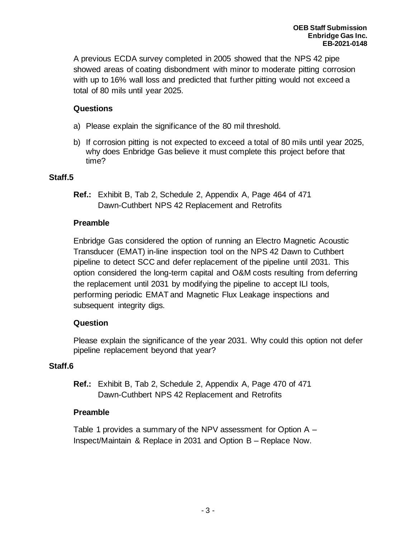A previous ECDA survey completed in 2005 showed that the NPS 42 pipe showed areas of coating disbondment with minor to moderate pitting corrosion with up to 16% wall loss and predicted that further pitting would not exceed a total of 80 mils until year 2025.

# **Questions**

- a) Please explain the significance of the 80 mil threshold.
- b) If corrosion pitting is not expected to exceed a total of 80 mils until year 2025, why does Enbridge Gas believe it must complete this project before that time?

## **Staff.5**

**Ref.:** Exhibit B, Tab 2, Schedule 2, Appendix A, Page 464 of 471 Dawn-Cuthbert NPS 42 Replacement and Retrofits

## **Preamble**

Enbridge Gas considered the option of running an Electro Magnetic Acoustic Transducer (EMAT) in-line inspection tool on the NPS 42 Dawn to Cuthbert pipeline to detect SCC and defer replacement of the pipeline until 2031. This option considered the long-term capital and O&M costs resulting from deferring the replacement until 2031 by modifying the pipeline to accept ILI tools, performing periodic EMAT and Magnetic Flux Leakage inspections and subsequent integrity digs.

# **Question**

Please explain the significance of the year 2031. Why could this option not defer pipeline replacement beyond that year?

## **Staff.6**

**Ref.:** Exhibit B, Tab 2, Schedule 2, Appendix A, Page 470 of 471 Dawn-Cuthbert NPS 42 Replacement and Retrofits

# **Preamble**

Table 1 provides a summary of the NPV assessment for Option A – Inspect/Maintain & Replace in 2031 and Option B – Replace Now.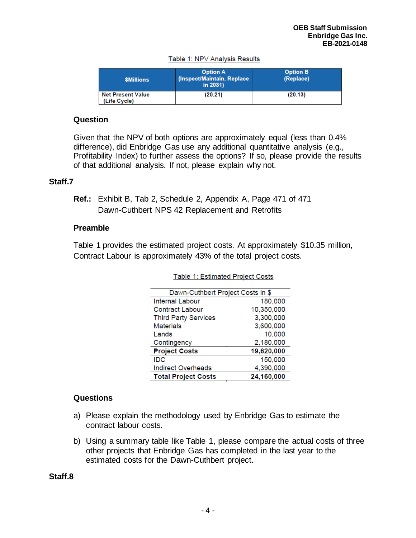| <b><i>SMillions</i></b>                  | <b>Option A</b><br>(Inspect/Maintain, Replace<br>in 2031) | <b>Option B</b><br>(Replace) |
|------------------------------------------|-----------------------------------------------------------|------------------------------|
| <b>Net Present Value</b><br>(Life Cycle) | (20.21)                                                   | (20.13)                      |

#### Table 1: NPV Analysis Results

#### **Question**

Given that the NPV of both options are approximately equal (less than 0.4% difference), did Enbridge Gas use any additional quantitative analysis (e.g., Profitability Index) to further assess the options? If so, please provide the results of that additional analysis. If not, please explain why not.

#### **Staff.7**

**Ref.:** Exhibit B, Tab 2, Schedule 2, Appendix A, Page 471 of 471 Dawn-Cuthbert NPS 42 Replacement and Retrofits

#### **Preamble**

Table 1 provides the estimated project costs. At approximately \$10.35 million, Contract Labour is approximately 43% of the total project costs.

| Dawn-Cuthbert Project Costs in \$ |            |  |
|-----------------------------------|------------|--|
| <b>Internal Labour</b>            | 180,000    |  |
| <b>Contract Labour</b>            | 10,350,000 |  |
| <b>Third Party Services</b>       | 3,300,000  |  |
| <b>Materials</b>                  | 3,600,000  |  |
| Lands                             | 10,000     |  |
| Contingency                       | 2,180,000  |  |
| <b>Project Costs</b>              | 19,620,000 |  |
| IDC                               | 150,000    |  |
| <b>Indirect Overheads</b>         | 4,390,000  |  |
| <b>Total Project Costs</b>        | 24,160,000 |  |

Table 1: Estimated Project Costs

#### **Questions**

- a) Please explain the methodology used by Enbridge Gas to estimate the contract labour costs.
- b) Using a summary table like Table 1, please compare the actual costs of three other projects that Enbridge Gas has completed in the last year to the estimated costs for the Dawn-Cuthbert project.

**Staff.8**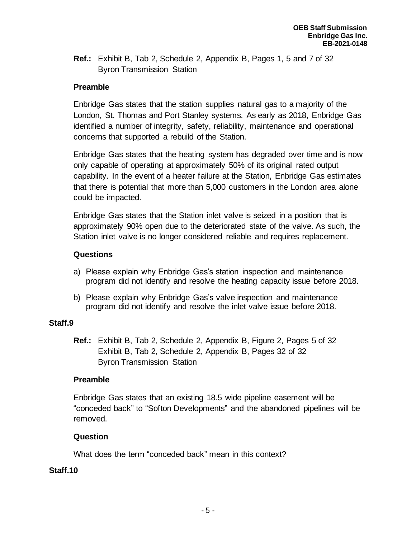**Ref.:** Exhibit B, Tab 2, Schedule 2, Appendix B, Pages 1, 5 and 7 of 32 Byron Transmission Station

# **Preamble**

Enbridge Gas states that the station supplies natural gas to a majority of the London, St. Thomas and Port Stanley systems. As early as 2018, Enbridge Gas identified a number of integrity, safety, reliability, maintenance and operational concerns that supported a rebuild of the Station.

Enbridge Gas states that the heating system has degraded over time and is now only capable of operating at approximately 50% of its original rated output capability. In the event of a heater failure at the Station, Enbridge Gas estimates that there is potential that more than 5,000 customers in the London area alone could be impacted.

Enbridge Gas states that the Station inlet valve is seized in a position that is approximately 90% open due to the deteriorated state of the valve. As such, the Station inlet valve is no longer considered reliable and requires replacement.

## **Questions**

- a) Please explain why Enbridge Gas's station inspection and maintenance program did not identify and resolve the heating capacity issue before 2018.
- b) Please explain why Enbridge Gas's valve inspection and maintenance program did not identify and resolve the inlet valve issue before 2018.

## **Staff.9**

**Ref.:** Exhibit B, Tab 2, Schedule 2, Appendix B, Figure 2, Pages 5 of 32 Exhibit B, Tab 2, Schedule 2, Appendix B, Pages 32 of 32 Byron Transmission Station

## **Preamble**

Enbridge Gas states that an existing 18.5 wide pipeline easement will be "conceded back" to "Softon Developments" and the abandoned pipelines will be removed.

## **Question**

What does the term "conceded back" mean in this context?

#### **Staff.10**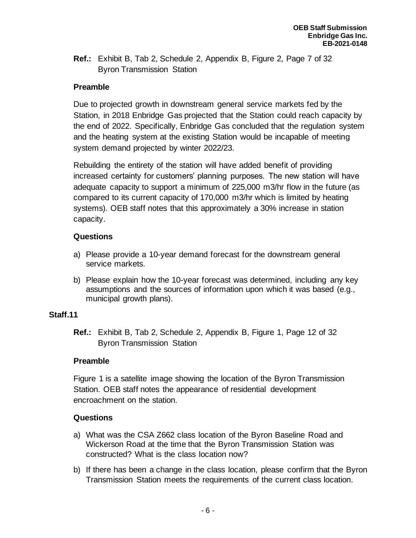**Ref.:** Exhibit B, Tab 2, Schedule 2, Appendix B, Figure 2, Page 7 of 32 Byron Transmission Station

# **Preamble**

Due to projected growth in downstream general service markets fed by the Station, in 2018 Enbridge Gas projected that the Station could reach capacity by the end of 2022. Specifically, Enbridge Gas concluded that the regulation system and the heating system at the existing Station would be incapable of meeting system demand projected by winter 2022/23.

Rebuilding the entirety of the station will have added benefit of providing increased certainty for customers' planning purposes. The new station will have adequate capacity to support a minimum of 225,000 m3/hr flow in the future (as compared to its current capacity of 170,000 m3/hr which is limited by heating systems). OEB staff notes that this approximately a 30% increase in station capacity.

# **Questions**

- a) Please provide a 10-year demand forecast for the downstream general service markets.
- b) Please explain how the 10-year forecast was determined, including any key assumptions and the sources of information upon which it was based (e.g., municipal growth plans).

# **Staff.11**

**Ref.:** Exhibit B, Tab 2, Schedule 2, Appendix B, Figure 1, Page 12 of 32 Byron Transmission Station

# **Preamble**

Figure 1 is a satellite image showing the location of the Byron Transmission Station. OEB staff notes the appearance of residential development encroachment on the station.

# **Questions**

- a) What was the CSA Z662 class location of the Byron Baseline Road and Wickerson Road at the time that the Byron Transmission Station was constructed? What is the class location now?
- b) If there has been a change in the class location, please confirm that the Byron Transmission Station meets the requirements of the current class location.